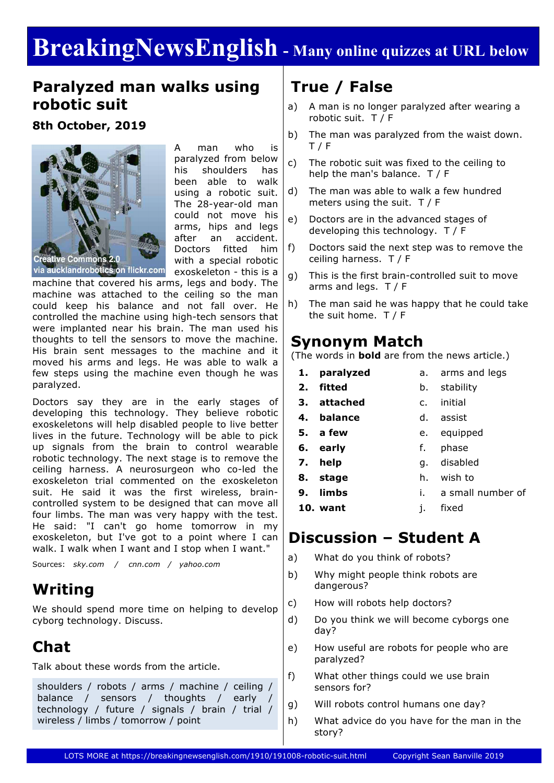# **BreakingNewsEnglish - Many online quizzes at URL below**

### **Paralyzed man walks using robotic suit**

**8th October, 2019**



A man who is paralyzed from below his shoulders has been able to walk using a robotic suit. The 28-year-old man could not move his arms, hips and legs after an accident. Doctors fitted him with a special robotic exoskeleton - this is a

machine that covered his arms, legs and body. The machine was attached to the ceiling so the man could keep his balance and not fall over. He controlled the machine using high-tech sensors that were implanted near his brain. The man used his thoughts to tell the sensors to move the machine. His brain sent messages to the machine and it moved his arms and legs. He was able to walk a few steps using the machine even though he was paralyzed.

Doctors say they are in the early stages of developing this technology. They believe robotic exoskeletons will help disabled people to live better lives in the future. Technology will be able to pick up signals from the brain to control wearable robotic technology. The next stage is to remove the ceiling harness. A neurosurgeon who co-led the exoskeleton trial commented on the exoskeleton suit. He said it was the first wireless, braincontrolled system to be designed that can move all four limbs. The man was very happy with the test. He said: "I can't go home tomorrow in my exoskeleton, but I've got to a point where I can walk. I walk when I want and I stop when I want."

Sources: *sky.com / cnn.com / yahoo.com*

### **Writing**

We should spend more time on helping to develop cyborg technology. Discuss.

# **Chat**

Talk about these words from the article.

shoulders / robots / arms / machine / ceiling / balance / sensors / thoughts / early technology / future / signals / brain / trial / wireless / limbs / tomorrow / point

# **True / False**

- a) A man is no longer paralyzed after wearing a robotic suit. T / F
- b) The man was paralyzed from the waist down. T / F
- c) The robotic suit was fixed to the ceiling to help the man's balance. T / F
- d) The man was able to walk a few hundred meters using the suit. T / F
- e) Doctors are in the advanced stages of developing this technology. T / F
- f) Doctors said the next step was to remove the ceiling harness. T / F
- g) This is the first brain-controlled suit to move arms and legs. T / F
- h) The man said he was happy that he could take the suit home. T / F

### **Synonym Match**

(The words in **bold** are from the news article.)

- **1. paralyzed**
- **2. fitted**
- b. stability
- **3. attached**
- c. initial
- **4. balance**

**10. want**

- d. assist e. equipped
- **5. a few**
- **6. early** f. phase
- **7. help** g. disabled
- **8. stage 9. limbs** h. wish to
	- i. a small number of

a. arms and legs

j. fixed

# **Discussion – Student A**

- a) What do you think of robots?
- b) Why might people think robots are dangerous?
- c) How will robots help doctors?
- d) Do you think we will become cyborgs one day?
- e) How useful are robots for people who are paralyzed?
- f) What other things could we use brain sensors for?
- g) Will robots control humans one day?
- h) What advice do you have for the man in the story?